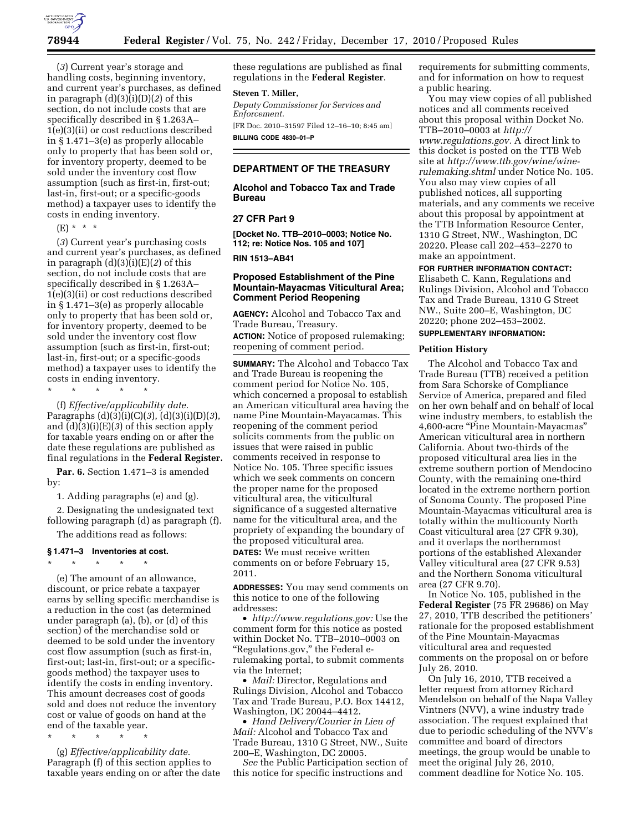

(*3*) Current year's storage and handling costs, beginning inventory, and current year's purchases, as defined in paragraph (d)(3)(i)(D)(*2*) of this section, do not include costs that are specifically described in § 1.263A– 1(e)(3)(ii) or cost reductions described in § 1.471–3(e) as properly allocable only to property that has been sold or, for inventory property, deemed to be sold under the inventory cost flow assumption (such as first-in, first-out; last-in, first-out; or a specific-goods method) a taxpayer uses to identify the costs in ending inventory.

(E) \* \* \*

(*3*) Current year's purchasing costs and current year's purchases, as defined in paragraph (d)(3)(i)(E)(*2*) of this section, do not include costs that are specifically described in § 1.263A– 1(e)(3)(ii) or cost reductions described in § 1.471–3(e) as properly allocable only to property that has been sold or, for inventory property, deemed to be sold under the inventory cost flow assumption (such as first-in, first-out; last-in, first-out; or a specific-goods method) a taxpayer uses to identify the costs in ending inventory.

\* \* \* \* \*

(f) *Effective/applicability date.*  Paragraphs (d)(3)(i)(C)(*3*), (d)(3)(i)(D)(*3*), and (d)(3)(i)(E)(*3*) of this section apply for taxable years ending on or after the date these regulations are published as final regulations in the **Federal Register.** 

**Par. 6.** Section 1.471–3 is amended by:

1. Adding paragraphs (e) and (g).

2. Designating the undesignated text

following paragraph (d) as paragraph (f). The additions read as follows:

#### **§ 1.471–3 Inventories at cost.**

\* \* \* \* \* (e) The amount of an allowance, discount, or price rebate a taxpayer earns by selling specific merchandise is a reduction in the cost (as determined under paragraph (a), (b), or (d) of this section) of the merchandise sold or deemed to be sold under the inventory cost flow assumption (such as first-in, first-out; last-in, first-out; or a specificgoods method) the taxpayer uses to identify the costs in ending inventory. This amount decreases cost of goods sold and does not reduce the inventory cost or value of goods on hand at the end of the taxable year.

\* \* \* \* \*

(g) *Effective/applicability date.*  Paragraph (f) of this section applies to taxable years ending on or after the date these regulations are published as final regulations in the **Federal Register**.

## **Steven T. Miller,**

*Deputy Commissioner for Services and Enforcement.* 

[FR Doc. 2010–31597 Filed 12–16–10; 8:45 am] **BILLING CODE 4830–01–P** 

## **DEPARTMENT OF THE TREASURY**

**Alcohol and Tobacco Tax and Trade Bureau** 

## **27 CFR Part 9**

**[Docket No. TTB–2010–0003; Notice No. 112; re: Notice Nos. 105 and 107]** 

**RIN 1513–AB41** 

## **Proposed Establishment of the Pine Mountain-Mayacmas Viticultural Area; Comment Period Reopening**

**AGENCY:** Alcohol and Tobacco Tax and Trade Bureau, Treasury.

**ACTION:** Notice of proposed rulemaking; reopening of comment period.

**SUMMARY:** The Alcohol and Tobacco Tax and Trade Bureau is reopening the comment period for Notice No. 105, which concerned a proposal to establish an American viticultural area having the name Pine Mountain-Mayacamas. This reopening of the comment period solicits comments from the public on issues that were raised in public comments received in response to Notice No. 105. Three specific issues which we seek comments on concern the proper name for the proposed viticultural area, the viticultural significance of a suggested alternative name for the viticultural area, and the propriety of expanding the boundary of the proposed viticultural area.

**DATES:** We must receive written comments on or before February 15, 2011.

**ADDRESSES:** You may send comments on this notice to one of the following addresses:

• *[http://www.regulations.gov:](http://www.regulations.gov)* Use the comment form for this notice as posted within Docket No. TTB–2010–0003 on "Regulations.gov," the Federal erulemaking portal, to submit comments via the Internet;

• *Mail:* Director, Regulations and Rulings Division, Alcohol and Tobacco Tax and Trade Bureau, P.O. Box 14412, Washington, DC 20044–4412.

• *Hand Delivery/Courier in Lieu of Mail:* Alcohol and Tobacco Tax and Trade Bureau, 1310 G Street, NW., Suite 200–E, Washington, DC 20005.

*See* the Public Participation section of this notice for specific instructions and

requirements for submitting comments, and for information on how to request a public hearing.

You may view copies of all published notices and all comments received about this proposal within Docket No. TTB–2010–0003 at *[http://](http://www.regulations.gov)  [www.regulations.gov.](http://www.regulations.gov)* A direct link to this docket is posted on the TTB Web site at *[http://www.ttb.gov/wine/wine](http://www.ttb.gov/wine/wine-rulemaking.shtml)[rulemaking.shtml](http://www.ttb.gov/wine/wine-rulemaking.shtml)* under Notice No. 105. You also may view copies of all published notices, all supporting materials, and any comments we receive about this proposal by appointment at the TTB Information Resource Center, 1310 G Street, NW., Washington, DC 20220. Please call 202–453–2270 to make an appointment.

#### **FOR FURTHER INFORMATION CONTACT:**

Elisabeth C. Kann, Regulations and Rulings Division, Alcohol and Tobacco Tax and Trade Bureau, 1310 G Street NW., Suite 200–E, Washington, DC 20220; phone 202–453–2002.

## **SUPPLEMENTARY INFORMATION:**

#### **Petition History**

The Alcohol and Tobacco Tax and Trade Bureau (TTB) received a petition from Sara Schorske of Compliance Service of America, prepared and filed on her own behalf and on behalf of local wine industry members, to establish the 4,600-acre ''Pine Mountain-Mayacmas'' American viticultural area in northern California. About two-thirds of the proposed viticultural area lies in the extreme southern portion of Mendocino County, with the remaining one-third located in the extreme northern portion of Sonoma County. The proposed Pine Mountain-Mayacmas viticultural area is totally within the multicounty North Coast viticultural area (27 CFR 9.30), and it overlaps the northernmost portions of the established Alexander Valley viticultural area (27 CFR 9.53) and the Northern Sonoma viticultural area (27 CFR 9.70).

In Notice No. 105, published in the **Federal Register** (75 FR 29686) on May 27, 2010, TTB described the petitioners' rationale for the proposed establishment of the Pine Mountain-Mayacmas viticultural area and requested comments on the proposal on or before July 26, 2010.

On July 16, 2010, TTB received a letter request from attorney Richard Mendelson on behalf of the Napa Valley Vintners (NVV), a wine industry trade association. The request explained that due to periodic scheduling of the NVV's committee and board of directors meetings, the group would be unable to meet the original July 26, 2010, comment deadline for Notice No. 105.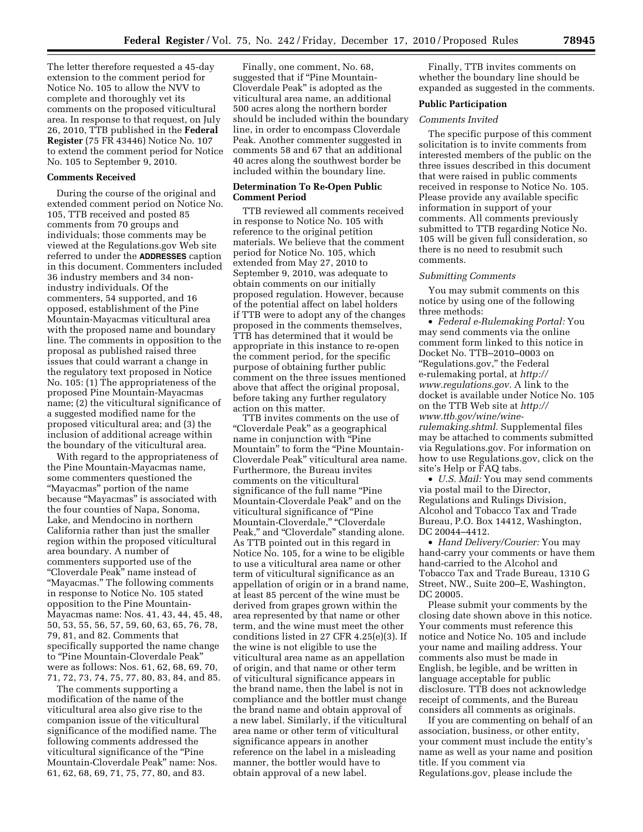The letter therefore requested a 45-day extension to the comment period for Notice No. 105 to allow the NVV to complete and thoroughly vet its comments on the proposed viticultural area. In response to that request, on July 26, 2010, TTB published in the **Federal Register** (75 FR 43446) Notice No. 107 to extend the comment period for Notice No. 105 to September 9, 2010.

### **Comments Received**

During the course of the original and extended comment period on Notice No. 105, TTB received and posted 85 comments from 70 groups and individuals; those comments may be viewed at the Regulations.gov Web site referred to under the **ADDRESSES** caption in this document. Commenters included 36 industry members and 34 nonindustry individuals. Of the commenters, 54 supported, and 16 opposed, establishment of the Pine Mountain-Mayacmas viticultural area with the proposed name and boundary line. The comments in opposition to the proposal as published raised three issues that could warrant a change in the regulatory text proposed in Notice No. 105: (1) The appropriateness of the proposed Pine Mountain-Mayacmas name; (2) the viticultural significance of a suggested modified name for the proposed viticultural area; and (3) the inclusion of additional acreage within the boundary of the viticultural area.

With regard to the appropriateness of the Pine Mountain-Mayacmas name, some commenters questioned the ''Mayacmas'' portion of the name because ''Mayacmas'' is associated with the four counties of Napa, Sonoma, Lake, and Mendocino in northern California rather than just the smaller region within the proposed viticultural area boundary. A number of commenters supported use of the ''Cloverdale Peak'' name instead of "Mayacmas." The following comments in response to Notice No. 105 stated opposition to the Pine Mountain-Mayacmas name: Nos. 41, 43, 44, 45, 48, 50, 53, 55, 56, 57, 59, 60, 63, 65, 76, 78, 79, 81, and 82. Comments that specifically supported the name change to ''Pine Mountain-Cloverdale Peak'' were as follows: Nos. 61, 62, 68, 69, 70, 71, 72, 73, 74, 75, 77, 80, 83, 84, and 85.

The comments supporting a modification of the name of the viticultural area also give rise to the companion issue of the viticultural significance of the modified name. The following comments addressed the viticultural significance of the ''Pine Mountain-Cloverdale Peak'' name: Nos. 61, 62, 68, 69, 71, 75, 77, 80, and 83.

Finally, one comment, No. 68, suggested that if "Pine Mountain-Cloverdale Peak'' is adopted as the viticultural area name, an additional 500 acres along the northern border should be included within the boundary line, in order to encompass Cloverdale Peak. Another commenter suggested in comments 58 and 67 that an additional 40 acres along the southwest border be included within the boundary line.

## **Determination To Re-Open Public Comment Period**

TTB reviewed all comments received in response to Notice No. 105 with reference to the original petition materials. We believe that the comment period for Notice No. 105, which extended from May 27, 2010 to September 9, 2010, was adequate to obtain comments on our initially proposed regulation. However, because of the potential affect on label holders if TTB were to adopt any of the changes proposed in the comments themselves, TTB has determined that it would be appropriate in this instance to re-open the comment period, for the specific purpose of obtaining further public comment on the three issues mentioned above that affect the original proposal, before taking any further regulatory action on this matter.

TTB invites comments on the use of ''Cloverdale Peak'' as a geographical name in conjunction with ''Pine Mountain" to form the "Pine Mountain-Cloverdale Peak'' viticultural area name. Furthermore, the Bureau invites comments on the viticultural significance of the full name "Pine" Mountain-Cloverdale Peak'' and on the viticultural significance of ''Pine Mountain-Cloverdale," "Cloverdale Peak," and "Cloverdale" standing alone. As TTB pointed out in this regard in Notice No. 105, for a wine to be eligible to use a viticultural area name or other term of viticultural significance as an appellation of origin or in a brand name, at least 85 percent of the wine must be derived from grapes grown within the area represented by that name or other term, and the wine must meet the other conditions listed in 27 CFR 4.25(e)(3). If the wine is not eligible to use the viticultural area name as an appellation of origin, and that name or other term of viticultural significance appears in the brand name, then the label is not in compliance and the bottler must change the brand name and obtain approval of a new label. Similarly, if the viticultural area name or other term of viticultural significance appears in another reference on the label in a misleading manner, the bottler would have to obtain approval of a new label.

Finally, TTB invites comments on whether the boundary line should be expanded as suggested in the comments.

#### **Public Participation**

#### *Comments Invited*

The specific purpose of this comment solicitation is to invite comments from interested members of the public on the three issues described in this document that were raised in public comments received in response to Notice No. 105. Please provide any available specific information in support of your comments. All comments previously submitted to TTB regarding Notice No. 105 will be given full consideration, so there is no need to resubmit such comments.

#### *Submitting Comments*

You may submit comments on this notice by using one of the following three methods:

• *Federal e-Rulemaking Portal:* You may send comments via the online comment form linked to this notice in Docket No. TTB–2010–0003 on "Regulations.gov," the Federal e-rulemaking portal, at *[http://](http://www.regulations.gov)  [www.regulations.gov.](http://www.regulations.gov)* A link to the docket is available under Notice No. 105 on the TTB Web site at *[http://](http://www.ttb.gov/wine/wine-rulemaking.shtml) [www.ttb.gov/wine/wine](http://www.ttb.gov/wine/wine-rulemaking.shtml)[rulemaking.shtml.](http://www.ttb.gov/wine/wine-rulemaking.shtml)* Supplemental files may be attached to comments submitted via Regulations.gov. For information on how to use Regulations.gov, click on the site's Help or FAQ tabs.

• *U.S. Mail:* You may send comments via postal mail to the Director, Regulations and Rulings Division, Alcohol and Tobacco Tax and Trade Bureau, P.O. Box 14412, Washington, DC 20044–4412.

• *Hand Delivery/Courier:* You may hand-carry your comments or have them hand-carried to the Alcohol and Tobacco Tax and Trade Bureau, 1310 G Street, NW., Suite 200–E, Washington, DC 20005.

Please submit your comments by the closing date shown above in this notice. Your comments must reference this notice and Notice No. 105 and include your name and mailing address. Your comments also must be made in English, be legible, and be written in language acceptable for public disclosure. TTB does not acknowledge receipt of comments, and the Bureau considers all comments as originals.

If you are commenting on behalf of an association, business, or other entity, your comment must include the entity's name as well as your name and position title. If you comment via Regulations.gov, please include the